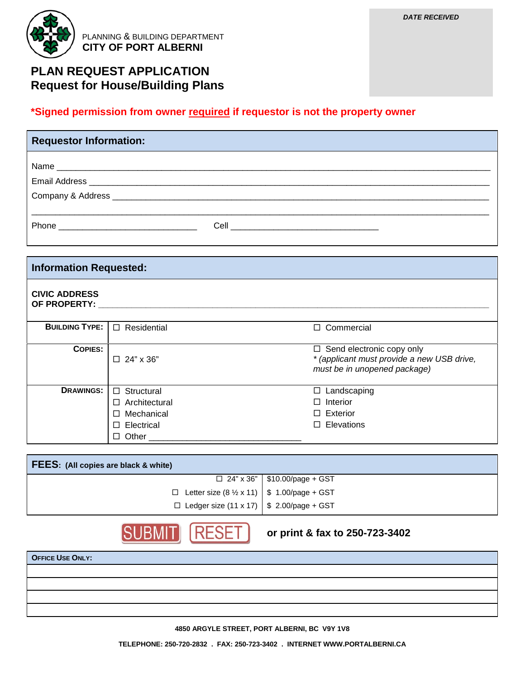

PLANNING & BUILDING DEPARTMENT  **CITY OF PORT ALBERNI**

## **PLAN REQUEST APPLICATION Request for House/Building Plans**

## **\*Signed permission from owner required if requestor is not the property owner**

| <b>Requestor Information:</b>                                                                                                                                                                                                       |  |
|-------------------------------------------------------------------------------------------------------------------------------------------------------------------------------------------------------------------------------------|--|
|                                                                                                                                                                                                                                     |  |
|                                                                                                                                                                                                                                     |  |
|                                                                                                                                                                                                                                     |  |
|                                                                                                                                                                                                                                     |  |
| Phone <b>Property</b> and the contract of the contract of the contract of the contract of the contract of the contract of the contract of the contract of the contract of the contract of the contract of the contract of the contr |  |

| <b>Information Requested:</b>        |                       |                                                                                                                |  |  |
|--------------------------------------|-----------------------|----------------------------------------------------------------------------------------------------------------|--|--|
| <b>CIVIC ADDRESS</b><br>OF PROPERTY: |                       |                                                                                                                |  |  |
| <b>BUILDING TYPE:</b>                | Residential<br>$\Box$ | □ Commercial                                                                                                   |  |  |
| <b>COPIES:</b>                       | $\Box$ 24" x 36"      | $\Box$ Send electronic copy only<br>* (applicant must provide a new USB drive,<br>must be in unopened package) |  |  |
| <b>DRAWINGS:</b>                     | Structural<br>$\Box$  | Landscaping<br>□                                                                                               |  |  |
|                                      | Architectural<br>П    | Interior                                                                                                       |  |  |
|                                      | Mechanical<br>□       | $\Box$ Exterior                                                                                                |  |  |
|                                      | Electrical<br>$\Box$  | □ Elevations                                                                                                   |  |  |
|                                      | Other                 |                                                                                                                |  |  |

| <b>FEES:</b> (All copies are black & white)                  |                                       |  |  |  |
|--------------------------------------------------------------|---------------------------------------|--|--|--|
|                                                              | $\Box$ 24" x 36"   \$10.00/page + GST |  |  |  |
| □ Letter size $(8 \frac{1}{2} \times 11)$ \$ 1.00/page + GST |                                       |  |  |  |
| $\Box$ Ledger size (11 x 17) \ \$ 2.00/page + GST            |                                       |  |  |  |



**or print & fax to 250-723-3402**

| <b>OFFICE USE ONLY:</b> |  |
|-------------------------|--|
|                         |  |
|                         |  |
|                         |  |
|                         |  |

**4850 ARGYLE STREET, PORT ALBERNI, BC V9Y 1V8**